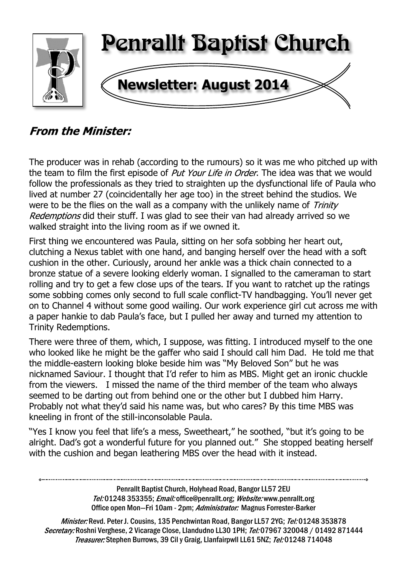

# **From the Minister:**

The producer was in rehab (according to the rumours) so it was me who pitched up with the team to film the first episode of *Put Your Life in Order*. The idea was that we would follow the professionals as they tried to straighten up the dysfunctional life of Paula who lived at number 27 (coincidentally her age too) in the street behind the studios. We were to be the flies on the wall as a company with the unlikely name of *Trinity* Redemptions did their stuff. I was glad to see their van had already arrived so we walked straight into the living room as if we owned it.

First thing we encountered was Paula, sitting on her sofa sobbing her heart out, clutching a Nexus tablet with one hand, and banging herself over the head with a soft cushion in the other. Curiously, around her ankle was a thick chain connected to a bronze statue of a severe looking elderly woman. I signalled to the cameraman to start rolling and try to get a few close ups of the tears. If you want to ratchet up the ratings some sobbing comes only second to full scale conflict-TV handbagging. You'll never get on to Channel 4 without some good wailing. Our work experience girl cut across me with a paper hankie to dab Paula's face, but I pulled her away and turned my attention to Trinity Redemptions.

There were three of them, which, I suppose, was fitting. I introduced myself to the one who looked like he might be the gaffer who said I should call him Dad. He told me that the middle-eastern looking bloke beside him was "My Beloved Son" but he was nicknamed Saviour. I thought that I'd refer to him as MBS. Might get an ironic chuckle from the viewers. I missed the name of the third member of the team who always seemed to be darting out from behind one or the other but I dubbed him Harry. Probably not what they'd said his name was, but who cares? By this time MBS was kneeling in front of the still-inconsolable Paula.

"Yes I know you feel that life's a mess, Sweetheart," he soothed, "but it's going to be alright. Dad's got a wonderful future for you planned out." She stopped beating herself with the cushion and began leathering MBS over the head with it instead.

> Penrallt Baptist Church, Holyhead Road, Bangor LL57 2EU Tel:01248 353355; Email: office@penrallt.org; Website: www.penrallt.org Office open Mon-Fri 10am - 2pm; Administrator: Magnus Forrester-Barker

Minister: Revd. Peter J. Cousins, 135 Penchwintan Road, Bangor LL57 2YG; Tel: 01248 353878 Secretary: Roshni Verghese, 2 Vicarage Close, Llandudno LL30 1PH; Tel: 07967 320048 / 01492 871444 Treasurer: Stephen Burrows, 39 Cil y Graig, Llanfairpwll LL61 5NZ; Tel: 01248 714048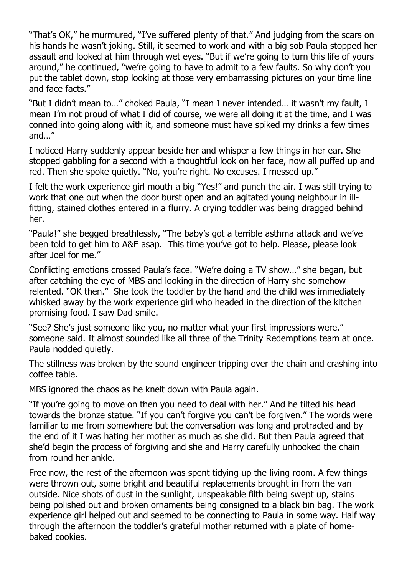"That's OK," he murmured, "I've suffered plenty of that." And judging from the scars on his hands he wasn't joking. Still, it seemed to work and with a big sob Paula stopped her assault and looked at him through wet eyes. "But if we're going to turn this life of yours around," he continued, "we're going to have to admit to a few faults. So why don't you put the tablet down, stop looking at those very embarrassing pictures on your time line and face facts."

"But I didn't mean to…" choked Paula, "I mean I never intended… it wasn't my fault, I mean I'm not proud of what I did of course, we were all doing it at the time, and I was conned into going along with it, and someone must have spiked my drinks a few times and…"

I noticed Harry suddenly appear beside her and whisper a few things in her ear. She stopped gabbling for a second with a thoughtful look on her face, now all puffed up and red. Then she spoke quietly. "No, you're right. No excuses. I messed up."

I felt the work experience girl mouth a big "Yes!" and punch the air. I was still trying to work that one out when the door burst open and an agitated young neighbour in illfitting, stained clothes entered in a flurry. A crying toddler was being dragged behind her.

"Paula!" she begged breathlessly, "The baby's got a terrible asthma attack and we've been told to get him to A&E asap. This time you've got to help. Please, please look after Joel for me."

Conflicting emotions crossed Paula's face. "We're doing a TV show…" she began, but after catching the eye of MBS and looking in the direction of Harry she somehow relented. "OK then." She took the toddler by the hand and the child was immediately whisked away by the work experience girl who headed in the direction of the kitchen promising food. I saw Dad smile.

"See? She's just someone like you, no matter what your first impressions were." someone said. It almost sounded like all three of the Trinity Redemptions team at once. Paula nodded quietly.

The stillness was broken by the sound engineer tripping over the chain and crashing into coffee table.

MBS ignored the chaos as he knelt down with Paula again.

"If you're going to move on then you need to deal with her." And he tilted his head towards the bronze statue. "If you can't forgive you can't be forgiven." The words were familiar to me from somewhere but the conversation was long and protracted and by the end of it I was hating her mother as much as she did. But then Paula agreed that she'd begin the process of forgiving and she and Harry carefully unhooked the chain from round her ankle.

Free now, the rest of the afternoon was spent tidying up the living room. A few things were thrown out, some bright and beautiful replacements brought in from the van outside. Nice shots of dust in the sunlight, unspeakable filth being swept up, stains being polished out and broken ornaments being consigned to a black bin bag. The work experience girl helped out and seemed to be connecting to Paula in some way. Half way through the afternoon the toddler's grateful mother returned with a plate of homebaked cookies.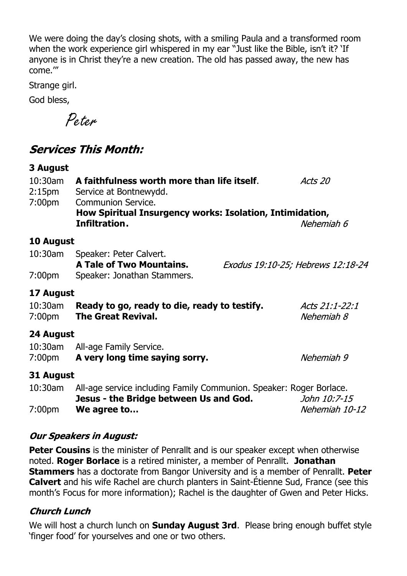We were doing the day's closing shots, with a smiling Paula and a transformed room when the work experience girl whispered in my ear "Just like the Bible, isn't it? 'If anyone is in Christ they're a new creation. The old has passed away, the new has come.'"

Strange girl.

God bless,

Peter

# **Services This Month:**

| 3 August                                      |                                                                                                                               |         |                                   |
|-----------------------------------------------|-------------------------------------------------------------------------------------------------------------------------------|---------|-----------------------------------|
| $10:30$ am<br>$2:15$ pm<br>7:00 <sub>pm</sub> | A faithfulness worth more than life itself.<br>Service at Bontnewydd.<br><b>Communion Service.</b>                            | Acts 20 |                                   |
|                                               | How Spiritual Insurgency works: Isolation, Intimidation,                                                                      |         |                                   |
|                                               | Infiltration.                                                                                                                 |         | Nehemiah 6                        |
| 10 August                                     |                                                                                                                               |         |                                   |
| 10:30am                                       | Speaker: Peter Calvert.<br><b>A Tale of Two Mountains.</b>                                                                    |         | Exodus 19:10-25; Hebrews 12:18-24 |
| 7:00 <sub>pm</sub>                            | Speaker: Jonathan Stammers.                                                                                                   |         |                                   |
| 17 August                                     |                                                                                                                               |         |                                   |
| $10:30$ am<br>7:00 <sub>pm</sub>              | Ready to go, ready to die, ready to testify.<br><b>The Great Revival.</b>                                                     |         | Acts 21:1-22:1<br>Nehemiah 8      |
| 24 August                                     |                                                                                                                               |         |                                   |
| 10:30am<br>7:00pm                             | All-age Family Service.<br>A very long time saying sorry.                                                                     |         | Nehemiah 9                        |
| 31 August                                     |                                                                                                                               |         |                                   |
| 10:30am                                       | All-age service including Family Communion. Speaker: Roger Borlace.<br>Jesus - the Bridge between Us and God.<br>John 10:7-15 |         |                                   |
| 7:00 <sub>pm</sub>                            | We agree to                                                                                                                   |         | Nehemiah 10-12                    |

#### **Our Speakers in August:**

**Peter Cousins** is the minister of Penrallt and is our speaker except when otherwise noted. **Roger Borlace** is a retired minister, a member of Penrallt. **Jonathan Stammers** has a doctorate from Bangor University and is a member of Penrallt. **Peter Calvert** and his wife Rachel are church planters in Saint-Étienne Sud, France (see this month's Focus for more information); Rachel is the daughter of Gwen and Peter Hicks.

#### **Church Lunch**

We will host a church lunch on **Sunday August 3rd**. Please bring enough buffet style 'finger food' for yourselves and one or two others.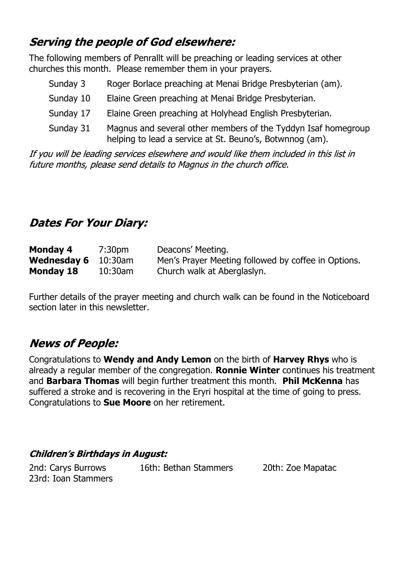# **Serving the people of God elsewhere:**

The following members of Penrallt will be preaching or leading services at other churches this month. Please remember them in your prayers.

| Sunday 3  | Roger Borlace preaching at Menai Bridge Presbyterian (am).                                                                |
|-----------|---------------------------------------------------------------------------------------------------------------------------|
| Sunday 10 | Elaine Green preaching at Menai Bridge Presbyterian.                                                                      |
| Sunday 17 | Elaine Green preaching at Holyhead English Presbyterian.                                                                  |
| Sunday 31 | Magnus and several other members of the Tyddyn Isaf homegroup<br>helping to lead a service at St. Beuno's, Botwnnog (am). |

If you will be leading services elsewhere and would like them included in this list in future months, please send details to Magnus in the church office.

# **Dates For Your Diary:**

| Monday 4                   | 7:30pm     | Deacons' Meeting.                                   |
|----------------------------|------------|-----------------------------------------------------|
| <b>Wednesday 6</b> 10:30am |            | Men's Prayer Meeting followed by coffee in Options. |
| Monday 18                  | $10:30$ am | Church walk at Aberglaslyn.                         |

Further details of the prayer meeting and church walk can be found in the Noticeboard section later in this newsletter.

# **News of People:**

Congratulations to **Wendy and Andy Lemon** on the birth of **Harvey Rhys** who is already a regular member of the congregation. **Ronnie Winter** continues his treatment and **Barbara Thomas** will begin further treatment this month. **Phil McKenna** has suffered a stroke and is recovering in the Eryri hospital at the time of going to press. Congratulations to **Sue Moore** on her retirement.

### **Children's Birthdays in August:**

2nd: Carys Burrows 16th: Bethan Stammers 20th: Zoe Mapatac 23rd: Ioan Stammers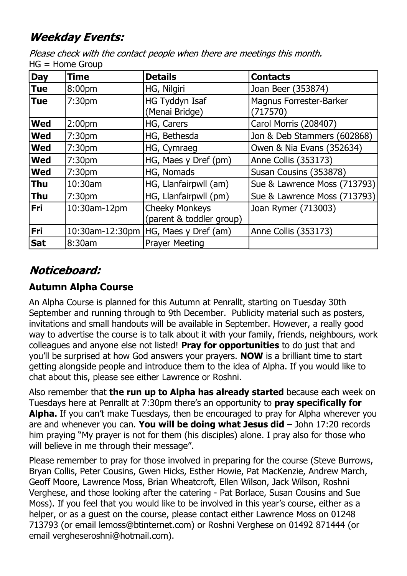# **Weekday Events:**

Please check with the contact people when there are meetings this month. HG = Home Group

| <b>Day</b> | <b>Time</b>        | <b>Details</b>                                    | <b>Contacts</b>                     |
|------------|--------------------|---------------------------------------------------|-------------------------------------|
| <b>Tue</b> | 8:00 <sub>pm</sub> | HG, Nilgiri                                       | Joan Beer (353874)                  |
| <b>Tue</b> | 7:30pm             | <b>HG Tyddyn Isaf</b><br>(Menai Bridge)           | Magnus Forrester-Barker<br>(717570) |
| <b>Wed</b> | 2:00 <sub>pm</sub> | HG, Carers                                        | Carol Morris (208407)               |
| <b>Wed</b> | 7:30 <sub>pm</sub> | HG, Bethesda                                      | Jon & Deb Stammers (602868)         |
| <b>Wed</b> | 7:30 <sub>pm</sub> | HG, Cymraeg                                       | Owen & Nia Evans (352634)           |
| <b>Wed</b> | 7:30 <sub>pm</sub> | HG, Maes y Dref (pm)                              | Anne Collis (353173)                |
| <b>Wed</b> | 7:30 <sub>pm</sub> | HG, Nomads                                        | Susan Cousins (353878)              |
| <b>Thu</b> | 10:30am            | HG, Llanfairpwll (am)                             | Sue & Lawrence Moss (713793)        |
| <b>Thu</b> | 7:30 <sub>pm</sub> | HG, Llanfairpwll (pm)                             | Sue & Lawrence Moss (713793)        |
| <b>Fri</b> | 10:30am-12pm       | <b>Cheeky Monkeys</b><br>(parent & toddler group) | Joan Rymer (713003)                 |
| Fri        |                    | 10:30am-12:30pm   HG, Maes y Dref (am)            | Anne Collis (353173)                |
| <b>Sat</b> | 8:30am             | <b>Prayer Meeting</b>                             |                                     |

# Noticeboard:

## **Autumn Alpha Course**

An Alpha Course is planned for this Autumn at Penrallt, starting on Tuesday 30th September and running through to 9th December. Publicity material such as posters, invitations and small handouts will be available in September. However, a really good way to advertise the course is to talk about it with your family, friends, neighbours, work colleagues and anyone else not listed! **Pray for opportunities** to do just that and you'll be surprised at how God answers your prayers. **NOW** is a brilliant time to start getting alongside people and introduce them to the idea of Alpha. If you would like to chat about this, please see either Lawrence or Roshni.

Also remember that **the run up to Alpha has already started** because each week on Tuesdays here at Penrallt at 7:30pm there's an opportunity to **pray specifically for Alpha.** If you can't make Tuesdays, then be encouraged to pray for Alpha wherever you are and whenever you can. **You will be doing what Jesus did** – John 17:20 records him praying "My prayer is not for them (his disciples) alone. I pray also for those who will believe in me through their message".

Please remember to pray for those involved in preparing for the course (Steve Burrows, Bryan Collis, Peter Cousins, Gwen Hicks, Esther Howie, Pat MacKenzie, Andrew March, Geoff Moore, Lawrence Moss, Brian Wheatcroft, Ellen Wilson, Jack Wilson, Roshni Verghese, and those looking after the catering - Pat Borlace, Susan Cousins and Sue Moss). If you feel that you would like to be involved in this year's course, either as a helper, or as a guest on the course, please contact either Lawrence Moss on 01248 713793 (or email lemoss@btinternet.com) or Roshni Verghese on 01492 871444 (or email vergheseroshni@hotmail.com).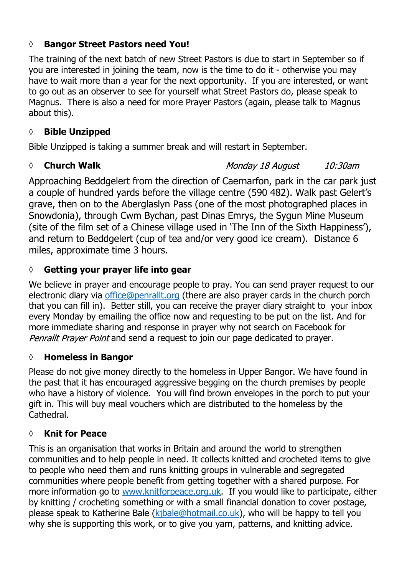### **◊ Bangor Street Pastors need You!**

The training of the next batch of new Street Pastors is due to start in September so if you are interested in joining the team, now is the time to do it - otherwise you may have to wait more than a year for the next opportunity. If you are interested, or want to go out as an observer to see for yourself what Street Pastors do, please speak to Magnus. There is also a need for more Prayer Pastors (again, please talk to Magnus about this).

## **◊ Bible Unzipped**

Bible Unzipped is taking a summer break and will restart in September.

### *◊* **Church Walk**

Monday 18 August  $10:30$ am

Approaching Beddgelert from the direction of Caernarfon, park in the car park just a couple of hundred yards before the village centre (590 482). Walk past Gelert's grave, then on to the Aberglaslyn Pass (one of the most photographed places in Snowdonia), through Cwm Bychan, past Dinas Emrys, the Sygun Mine Museum (site of the film set of a Chinese village used in 'The Inn of the Sixth Happiness'), and return to Beddgelert (cup of tea and/or very good ice cream). Distance 6 miles, approximate time 3 hours.

## **◊ Getting your prayer life into gear**

We believe in prayer and encourage people to pray. You can send prayer request to our electronic diary via office@penrallt.org (there are also prayer cards in the church porch that you can fill in). Better still, you can receive the prayer diary straight to your inbox every Monday by emailing the office now and requesting to be put on the list. And for more immediate sharing and response in prayer why not search on Facebook for Penrallt Prayer Point and send a request to join our page dedicated to prayer.

## **◊ Homeless in Bangor**

Please do not give money directly to the homeless in Upper Bangor. We have found in the past that it has encouraged aggressive begging on the church premises by people who have a history of violence. You will find brown envelopes in the porch to put your gift in. This will buy meal vouchers which are distributed to the homeless by the Cathedral.

## **◊ Knit for Peace**

This is an organisation that works in Britain and around the world to strengthen communities and to help people in need. It collects knitted and crocheted items to give to people who need them and runs knitting groups in vulnerable and segregated communities where people benefit from getting together with a shared purpose. For more information go to www.knitforpeace.org.uk If you would like to participate, either by knitting / crocheting something or with a small financial donation to cover postage, please speak to Katherine Bale (kjbale@hotmail.co.uk), who will be happy to tell you why she is supporting this work, or to give you yarn, patterns, and knitting advice.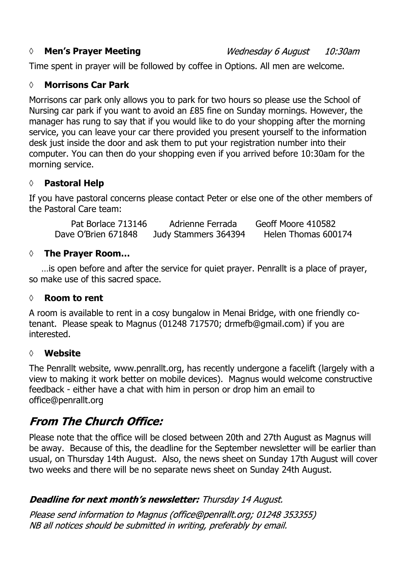#### *◊* **Men's Prayer Meeting**

Time spent in prayer will be followed by coffee in Options. All men are welcome.

#### **◊ Morrisons Car Park**

Morrisons car park only allows you to park for two hours so please use the School of Nursing car park if you want to avoid an £85 fine on Sunday mornings. However, the manager has rung to say that if you would like to do your shopping after the morning service, you can leave your car there provided you present yourself to the information desk just inside the door and ask them to put your registration number into their computer. You can then do your shopping even if you arrived before 10:30am for the morning service.

#### **◊ Pastoral Help**

If you have pastoral concerns please contact Peter or else one of the other members of the Pastoral Care team:

Pat Borlace 713146 Adrienne Ferrada Geoff Moore 410582 Dave O'Brien 671848 Judy Stammers 364394 Helen Thomas 600174

#### **◊ The Prayer Room…**

…is open before and after the service for quiet prayer. Penrallt is a place of prayer, so make use of this sacred space.

#### **◊ Room to rent**

A room is available to rent in a cosy bungalow in Menai Bridge, with one friendly cotenant. Please speak to Magnus (01248 717570; drmefb@gmail.com) if you are interested.

#### **◊ Website**

The Penrallt website, www.penrallt.org, has recently undergone a facelift (largely with a view to making it work better on mobile devices). Magnus would welcome constructive feedback - either have a chat with him in person or drop him an email to office@penrallt.org

## **From The Church Office:**

Please note that the office will be closed between 20th and 27th August as Magnus will be away. Because of this, the deadline for the September newsletter will be earlier than usual, on Thursday 14th August. Also, the news sheet on Sunday 17th August will cover two weeks and there will be no separate news sheet on Sunday 24th August.

### **Deadline for next month's newsletter:** Thursday 14 August.

Please send information to Magnus (office@penrallt.org; 01248 353355) NB all notices should be submitted in writing, preferably by email.